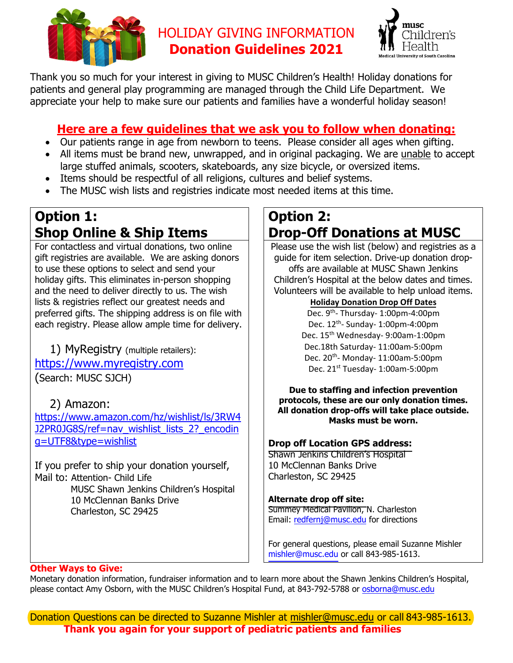

## HOLIDAY GIVING INFORMATION **Donation Guidelines 2021**



Thank you so much for your interest in giving to MUSC Children's Health! Holiday donations for patients and general play programming are managed through the Child Life Department. We appreciate your help to make sure our patients and families have a wonderful holiday season!

## **Here are a few guidelines that we ask you to follow when donating:**

- Our patients range in age from newborn to teens. Please consider all ages when gifting.
- All items must be brand new, unwrapped, and in original packaging. We are unable to accept large stuffed animals, scooters, skateboards, any size bicycle, or oversized items.
- Items should be respectful of all religions, cultures and belief systems.
- The MUSC wish lists and registries indicate most needed items at this time.

# **Option 1: Shop Online & Ship Items**

 and the need to deliver directly to us. The wish For contactless and virtual donations, two online gift registries are available. We are asking donors to use these options to select and send your holiday gifts. This eliminates in-person shopping lists & registries reflect our greatest needs and preferred gifts. The shipping address is on file with each registry. Please allow ample time for delivery.

## 1) MyRegistry (multiple retailers):

<mark>https://www.myregistry.com</mark><br>(Search: MUSC SJCH)

## 2) Amazon:

q=UTF8&type=wishlist https://www.amazon.com/hz/wishlist/ls/3RW4 J2PR0JG8S/ref=nav\_wishlist\_lists\_2?\_encodin

If you prefer to ship your donation yourself, Mail to: Attention- Child Life MUSC Shawn Jenkins Children's Hospital 10 McClennan Banks Drive

Charleston, SC 29425

# **Option 2: Drop-Off Donations at MUSC**

Please use the wish list (below) and registries as a guide for item selection. Drive-up donation dropoffs are available at MUSC Shawn Jenkins Children's Hospital at the below dates and times. Volunteers will be available to help unload items.

### **Holiday Donation Drop Off Dates**

Dec. 9<sup>th</sup>-Thursday- 1:00pm-4:00pm Dec.18th Saturday‐ 11:00am‐5:00pm Dec. 12<sup>th</sup>- Sunday- 1:00pm-4:00pm Dec. 15<sup>th</sup> Wednesday- 9:00am-1:00pm Dec. 20<sup>th</sup>- Monday- 11:00am-5:00pm Dec. 21<sup>st</sup> Tuesday- 1:00am-5:00pm

#### **Due to staffing and infection prevention protocols, these are our only donation times. All donation drop-offs will take place outside. Masks must be worn.**

### **Drop off Location GPS address:**

Shawn Jenkins Children's Hospital 10 McClennan Banks Drive Charleston, SC 29425

### **Alternate drop off site:**

Summey Medical Pavilion, N. Charleston Email: redfernj@musc.edu for directions

For general questions, please email Suzanne Mishler mishler@musc.edu or call 843-985-1613.

#### **Other Ways to Give:**

please contact Amy Osborn, with the MUSC Children's Hospital Fund, at 843-792-5788 or osborna@musc.edu Monetary donation information, fundraiser information and to learn more about the Shawn Jenkins Children's Hospital,

Donation Questions can be directed to Suzanne Mishler at mishler@musc.edu or call 843-985-1613. **Thank you again for your support of pediatric patients and families**